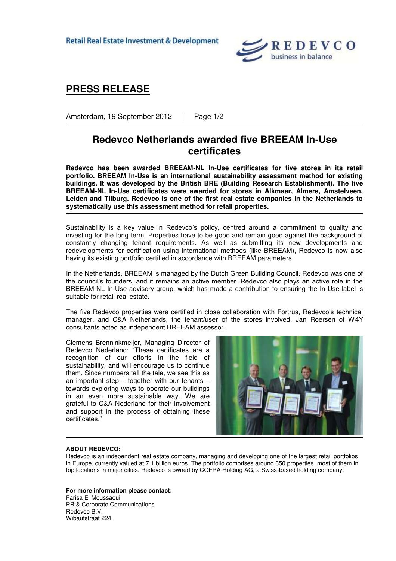**Retail Real Estate Investment & Development** 



## **PRESS RELEASE**

Amsterdam, 19 September 2012 | Page 1/2

## **Redevco Netherlands awarded five BREEAM In-Use certificates**

**Redevco has been awarded BREEAM-NL In-Use certificates for five stores in its retail portfolio. BREEAM In-Use is an international sustainability assessment method for existing buildings. It was developed by the British BRE (Building Research Establishment). The five BREEAM-NL In-Use certificates were awarded for stores in Alkmaar, Almere, Amstelveen, Leiden and Tilburg. Redevco is one of the first real estate companies in the Netherlands to systematically use this assessment method for retail properties.** 

Sustainability is a key value in Redevco's policy, centred around a commitment to quality and investing for the long term. Properties have to be good and remain good against the background of constantly changing tenant requirements. As well as submitting its new developments and redevelopments for certification using international methods (like BREEAM), Redevco is now also having its existing portfolio certified in accordance with BREEAM parameters.

In the Netherlands, BREEAM is managed by the Dutch Green Building Council. Redevco was one of the council's founders, and it remains an active member. Redevco also plays an active role in the BREEAM-NL In-Use advisory group, which has made a contribution to ensuring the In-Use label is suitable for retail real estate.

The five Redevco properties were certified in close collaboration with Fortrus, Redevco's technical manager, and C&A Netherlands, the tenant/user of the stores involved. Jan Roersen of W4Y consultants acted as independent BREEAM assessor.

Clemens Brenninkmeijer, Managing Director of Redevco Nederland: "These certificates are a recognition of our efforts in the field of sustainability, and will encourage us to continue them. Since numbers tell the tale, we see this as an important step – together with our tenants – towards exploring ways to operate our buildings in an even more sustainable way. We are grateful to C&A Nederland for their involvement and support in the process of obtaining these certificates."



## **ABOUT REDEVCO:**

Redevco is an independent real estate company, managing and developing one of the largest retail portfolios in Europe, currently valued at 7.1 billion euros. The portfolio comprises around 650 properties, most of them in top locations in major cities. Redevco is owned by COFRA Holding AG, a Swiss-based holding company.

**For more information please contact:** 

Farisa El Moussaoui PR & Corporate Communications Redevco B.V. Wibautstraat 224